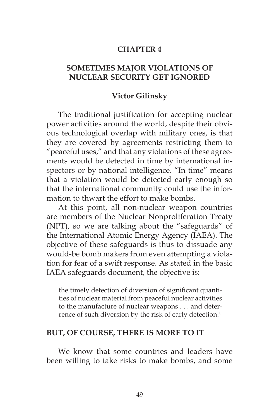#### **CHAPTER 4**

# **SOMETIMES MAJOR VIOLATIONS OF NUCLEAR SECURITY GET IGNORED**

#### **Victor Gilinsky**

The traditional justification for accepting nuclear power activities around the world, despite their obvious technological overlap with military ones, is that they are covered by agreements restricting them to "peaceful uses," and that any violations of these agreements would be detected in time by international inspectors or by national intelligence. "In time" means that a violation would be detected early enough so that the international community could use the information to thwart the effort to make bombs.

At this point, all non-nuclear weapon countries are members of the Nuclear Nonproliferation Treaty (NPT), so we are talking about the "safeguards" of the International Atomic Energy Agency (IAEA). The objective of these safeguards is thus to dissuade any would-be bomb makers from even attempting a violation for fear of a swift response. As stated in the basic IAEA safeguards document, the objective is:

the timely detection of diversion of significant quantities of nuclear material from peaceful nuclear activities to the manufacture of nuclear weapons . . . and deterrence of such diversion by the risk of early detection.<sup>1</sup>

#### **BUT, OF COURSE, THERE IS MORE TO IT**

We know that some countries and leaders have been willing to take risks to make bombs, and some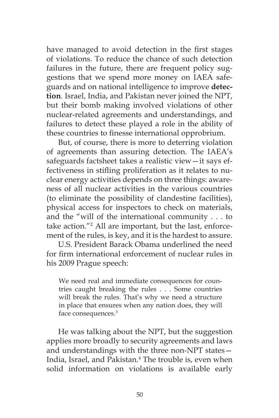have managed to avoid detection in the first stages of violations. To reduce the chance of such detection failures in the future, there are frequent policy suggestions that we spend more money on IAEA safeguards and on national intelligence to improve **detection***.* Israel, India, and Pakistan never joined the NPT, but their bomb making involved violations of other nuclear-related agreements and understandings, and failures to detect these played a role in the ability of these countries to finesse international opprobrium.

But, of course, there is more to deterring violation of agreements than assuring detection. The IAEA's safeguards factsheet takes a realistic view—it says effectiveness in stifling proliferation as it relates to nuclear energy activities depends on three things: awareness of all nuclear activities in the various countries (to eliminate the possibility of clandestine facilities), physical access for inspectors to check on materials, and the "will of the international community . . . to take action."2 All are important, but the last, enforcement of the rules, is key, and it is the hardest to assure.

U.S. President Barack Obama underlined the need for firm international enforcement of nuclear rules in his 2009 Prague speech:

We need real and immediate consequences for countries caught breaking the rules . . . Some countries will break the rules. That's why we need a structure in place that ensures when any nation does, they will face consequences.3

He was talking about the NPT, but the suggestion applies more broadly to security agreements and laws and understandings with the three non-NPT states— India, Israel, and Pakistan.4 The trouble is, even when solid information on violations is available early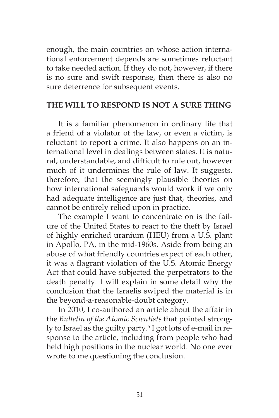enough, the main countries on whose action international enforcement depends are sometimes reluctant to take needed action. If they do not, however, if there is no sure and swift response, then there is also no sure deterrence for subsequent events.

### **THE WILL TO RESPOND IS NOT A SURE THING**

It is a familiar phenomenon in ordinary life that a friend of a violator of the law, or even a victim, is reluctant to report a crime. It also happens on an international level in dealings between states. It is natural, understandable, and difficult to rule out, however much of it undermines the rule of law. It suggests, therefore, that the seemingly plausible theories on how international safeguards would work if we only had adequate intelligence are just that, theories, and cannot be entirely relied upon in practice.

The example I want to concentrate on is the failure of the United States to react to the theft by Israel of highly enriched uranium (HEU) from a U.S. plant in Apollo, PA, in the mid-1960s. Aside from being an abuse of what friendly countries expect of each other, it was a flagrant violation of the U.S. Atomic Energy Act that could have subjected the perpetrators to the death penalty. I will explain in some detail why the conclusion that the Israelis swiped the material is in the beyond-a-reasonable-doubt category.

In 2010, I co-authored an article about the affair in the *Bulletin of the Atomic Scientists* that pointed strongly to Israel as the guilty party.5 I got lots of e-mail in response to the article, including from people who had held high positions in the nuclear world. No one ever wrote to me questioning the conclusion.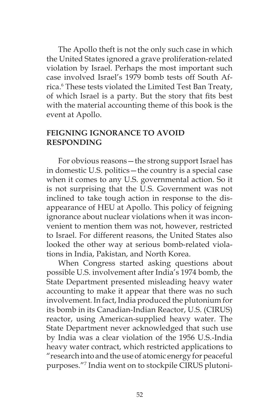The Apollo theft is not the only such case in which the United States ignored a grave proliferation-related violation by Israel. Perhaps the most important such case involved Israel's 1979 bomb tests off South Africa.6 These tests violated the Limited Test Ban Treaty, of which Israel is a party. But the story that fits best with the material accounting theme of this book is the event at Apollo.

# **FEIGNING IGNORANCE TO AVOID RESPONDING**

For obvious reasons—the strong support Israel has in domestic U.S. politics—the country is a special case when it comes to any U.S. governmental action. So it is not surprising that the U.S. Government was not inclined to take tough action in response to the disappearance of HEU at Apollo. This policy of feigning ignorance about nuclear violations when it was inconvenient to mention them was not, however, restricted to Israel. For different reasons, the United States also looked the other way at serious bomb-related violations in India, Pakistan, and North Korea.

When Congress started asking questions about possible U.S. involvement after India's 1974 bomb, the State Department presented misleading heavy water accounting to make it appear that there was no such involvement. In fact, India produced the plutonium for its bomb in its Canadian-Indian Reactor, U.S. (CIRUS) reactor, using American-supplied heavy water. The State Department never acknowledged that such use by India was a clear violation of the 1956 U.S.-India heavy water contract, which restricted applications to "research into and the use of atomic energy for peaceful purposes."7 India went on to stockpile CIRUS plutoni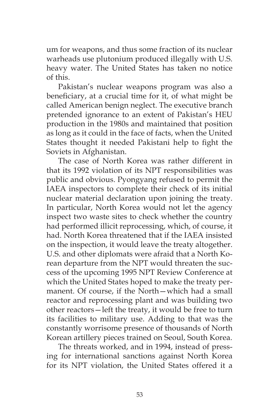um for weapons, and thus some fraction of its nuclear warheads use plutonium produced illegally with U.S. heavy water. The United States has taken no notice of this.

Pakistan's nuclear weapons program was also a beneficiary, at a crucial time for it, of what might be called American benign neglect. The executive branch pretended ignorance to an extent of Pakistan's HEU production in the 1980s and maintained that position as long as it could in the face of facts, when the United States thought it needed Pakistani help to fight the Soviets in Afghanistan.

The case of North Korea was rather different in that its 1992 violation of its NPT responsibilities was public and obvious. Pyongyang refused to permit the IAEA inspectors to complete their check of its initial nuclear material declaration upon joining the treaty. In particular, North Korea would not let the agency inspect two waste sites to check whether the country had performed illicit reprocessing, which, of course, it had. North Korea threatened that if the IAEA insisted on the inspection, it would leave the treaty altogether. U.S. and other diplomats were afraid that a North Korean departure from the NPT would threaten the success of the upcoming 1995 NPT Review Conference at which the United States hoped to make the treaty permanent. Of course, if the North—which had a small reactor and reprocessing plant and was building two other reactors—left the treaty, it would be free to turn its facilities to military use. Adding to that was the constantly worrisome presence of thousands of North Korean artillery pieces trained on Seoul, South Korea.

The threats worked, and in 1994, instead of pressing for international sanctions against North Korea for its NPT violation, the United States offered it a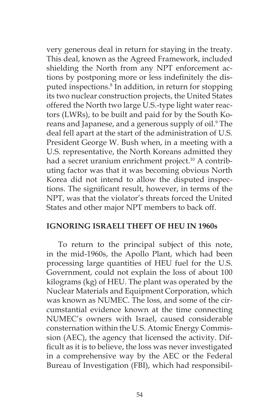very generous deal in return for staying in the treaty. This deal, known as the Agreed Framework, included shielding the North from any NPT enforcement actions by postponing more or less indefinitely the disputed inspections.<sup>8</sup> In addition, in return for stopping its two nuclear construction projects, the United States offered the North two large U.S.-type light water reactors (LWRs), to be built and paid for by the South Koreans and Japanese, and a generous supply of oil.<sup>9</sup> The deal fell apart at the start of the administration of U.S. President George W. Bush when, in a meeting with a U.S. representative, the North Koreans admitted they had a secret uranium enrichment project.<sup>10</sup> A contributing factor was that it was becoming obvious North Korea did not intend to allow the disputed inspections. The significant result, however, in terms of the NPT, was that the violator's threats forced the United States and other major NPT members to back off.

### **IGNORING ISRAELI THEFT OF HEU IN 1960s**

To return to the principal subject of this note, in the mid-1960s, the Apollo Plant, which had been processing large quantities of HEU fuel for the U.S. Government, could not explain the loss of about 100 kilograms (kg) of HEU. The plant was operated by the Nuclear Materials and Equipment Corporation, which was known as NUMEC. The loss, and some of the circumstantial evidence known at the time connecting NUMEC's owners with Israel, caused considerable consternation within the U.S. Atomic Energy Commission (AEC), the agency that licensed the activity. Difficult as it is to believe, the loss was never investigated in a comprehensive way by the AEC or the Federal Bureau of Investigation (FBI), which had responsibil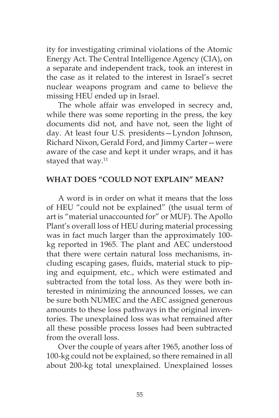ity for investigating criminal violations of the Atomic Energy Act. The Central Intelligence Agency (CIA), on a separate and independent track, took an interest in the case as it related to the interest in Israel's secret nuclear weapons program and came to believe the missing HEU ended up in Israel.

The whole affair was enveloped in secrecy and, while there was some reporting in the press, the key documents did not, and have not, seen the light of day. At least four U.S. presidents—Lyndon Johnson, Richard Nixon, Gerald Ford, and Jimmy Carter—were aware of the case and kept it under wraps, and it has stayed that way.<sup>11</sup>

### **WHAT DOES "COULD NOT EXPLAIN" MEAN?**

A word is in order on what it means that the loss of HEU "could not be explained" (the usual term of art is "material unaccounted for" or MUF). The Apollo Plant's overall loss of HEU during material processing was in fact much larger than the approximately 100 kg reported in 1965. The plant and AEC understood that there were certain natural loss mechanisms, including escaping gases, fluids, material stuck to piping and equipment, etc., which were estimated and subtracted from the total loss. As they were both interested in minimizing the announced losses, we can be sure both NUMEC and the AEC assigned generous amounts to these loss pathways in the original inventories. The unexplained loss was what remained after all these possible process losses had been subtracted from the overall loss.

Over the couple of years after 1965, another loss of 100-kg could not be explained, so there remained in all about 200-kg total unexplained. Unexplained losses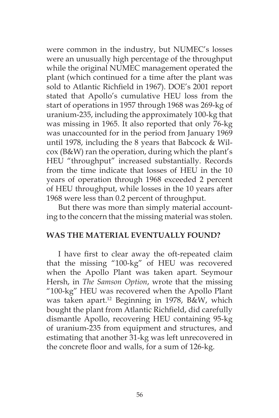were common in the industry, but NUMEC's losses were an unusually high percentage of the throughput while the original NUMEC management operated the plant (which continued for a time after the plant was sold to Atlantic Richfield in 1967). DOE's 2001 report stated that Apollo's cumulative HEU loss from the start of operations in 1957 through 1968 was 269-kg of uranium-235, including the approximately 100-kg that was missing in 1965. It also reported that only 76-kg was unaccounted for in the period from January 1969 until 1978, including the 8 years that Babcock & Wilcox (B&W) ran the operation, during which the plant's HEU "throughput" increased substantially. Records from the time indicate that losses of HEU in the 10 years of operation through 1968 exceeded 2 percent of HEU throughput, while losses in the 10 years after 1968 were less than 0.2 percent of throughput.

But there was more than simply material accounting to the concern that the missing material was stolen.

### **WAS THE MATERIAL EVENTUALLY FOUND?**

I have first to clear away the oft-repeated claim that the missing "100-kg" of HEU was recovered when the Apollo Plant was taken apart. Seymour Hersh, in *The Samson Option*, wrote that the missing "100-kg" HEU was recovered when the Apollo Plant was taken apart.12 Beginning in 1978, B&W, which bought the plant from Atlantic Richfield, did carefully dismantle Apollo, recovering HEU containing 95-kg of uranium-235 from equipment and structures, and estimating that another 31-kg was left unrecovered in the concrete floor and walls, for a sum of 126-kg.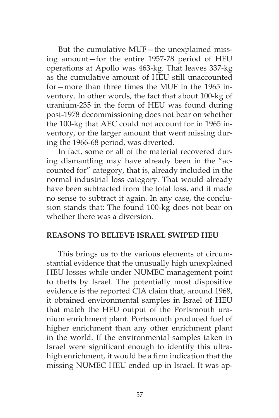But the cumulative MUF—the unexplained missing amount—for the entire 1957-78 period of HEU operations at Apollo was 463-kg. That leaves 337-kg as the cumulative amount of HEU still unaccounted for—more than three times the MUF in the 1965 inventory. In other words, the fact that about 100-kg of uranium-235 in the form of HEU was found during post-1978 decommissioning does not bear on whether the 100-kg that AEC could not account for in 1965 inventory, or the larger amount that went missing during the 1966-68 period, was diverted.

In fact, some or all of the material recovered during dismantling may have already been in the "accounted for" category, that is, already included in the normal industrial loss category. That would already have been subtracted from the total loss, and it made no sense to subtract it again. In any case, the conclusion stands that: The found 100-kg does not bear on whether there was a diversion.

### **REASONS TO BELIEVE ISRAEL SWIPED HEU**

This brings us to the various elements of circumstantial evidence that the unusually high unexplained HEU losses while under NUMEC management point to thefts by Israel. The potentially most dispositive evidence is the reported CIA claim that, around 1968, it obtained environmental samples in Israel of HEU that match the HEU output of the Portsmouth uranium enrichment plant. Portsmouth produced fuel of higher enrichment than any other enrichment plant in the world. If the environmental samples taken in Israel were significant enough to identify this ultrahigh enrichment, it would be a firm indication that the missing NUMEC HEU ended up in Israel. It was ap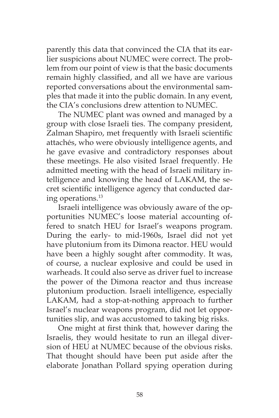parently this data that convinced the CIA that its earlier suspicions about NUMEC were correct. The problem from our point of view is that the basic documents remain highly classified, and all we have are various reported conversations about the environmental samples that made it into the public domain. In any event, the CIA's conclusions drew attention to NUMEC.

The NUMEC plant was owned and managed by a group with close Israeli ties. The company president, Zalman Shapiro, met frequently with Israeli scientific attachés, who were obviously intelligence agents, and he gave evasive and contradictory responses about these meetings. He also visited Israel frequently. He admitted meeting with the head of Israeli military intelligence and knowing the head of LAKAM, the secret scientific intelligence agency that conducted daring operations.13

Israeli intelligence was obviously aware of the opportunities NUMEC's loose material accounting offered to snatch HEU for Israel's weapons program. During the early- to mid-1960s, Israel did not yet have plutonium from its Dimona reactor. HEU would have been a highly sought after commodity. It was, of course, a nuclear explosive and could be used in warheads. It could also serve as driver fuel to increase the power of the Dimona reactor and thus increase plutonium production. Israeli intelligence, especially LAKAM, had a stop-at-nothing approach to further Israel's nuclear weapons program, did not let opportunities slip, and was accustomed to taking big risks.

One might at first think that, however daring the Israelis, they would hesitate to run an illegal diversion of HEU at NUMEC because of the obvious risks. That thought should have been put aside after the elaborate Jonathan Pollard spying operation during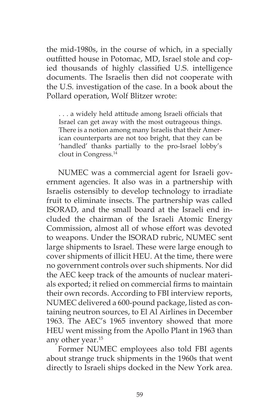the mid-1980s, in the course of which, in a specially outfitted house in Potomac, MD, Israel stole and copied thousands of highly classified U.S. intelligence documents. The Israelis then did not cooperate with the U.S. investigation of the case. In a book about the Pollard operation, Wolf Blitzer wrote:

. . . a widely held attitude among Israeli officials that Israel can get away with the most outrageous things. There is a notion among many Israelis that their American counterparts are not too bright, that they can be 'handled' thanks partially to the pro-Israel lobby's clout in Congress.14

NUMEC was a commercial agent for Israeli government agencies. It also was in a partnership with Israelis ostensibly to develop technology to irradiate fruit to eliminate insects. The partnership was called ISORAD, and the small board at the Israeli end included the chairman of the Israeli Atomic Energy Commission, almost all of whose effort was devoted to weapons. Under the ISORAD rubric, NUMEC sent large shipments to Israel. These were large enough to cover shipments of illicit HEU. At the time, there were no government controls over such shipments. Nor did the AEC keep track of the amounts of nuclear materials exported; it relied on commercial firms to maintain their own records. According to FBI interview reports, NUMEC delivered a 600-pound package, listed as containing neutron sources, to El Al Airlines in December 1963. The AEC's 1965 inventory showed that more HEU went missing from the Apollo Plant in 1963 than any other year.15

Former NUMEC employees also told FBI agents about strange truck shipments in the 1960s that went directly to Israeli ships docked in the New York area.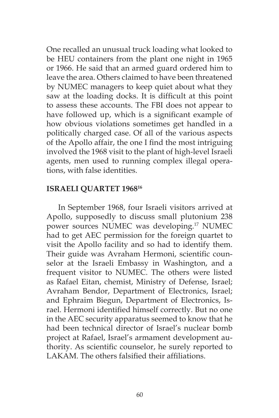One recalled an unusual truck loading what looked to be HEU containers from the plant one night in 1965 or 1966. He said that an armed guard ordered him to leave the area. Others claimed to have been threatened by NUMEC managers to keep quiet about what they saw at the loading docks. It is difficult at this point to assess these accounts. The FBI does not appear to have followed up, which is a significant example of how obvious violations sometimes get handled in a politically charged case. Of all of the various aspects of the Apollo affair, the one I find the most intriguing involved the 1968 visit to the plant of high-level Israeli agents, men used to running complex illegal operations, with false identities.

### **ISRAELI QUARTET 196816**

In September 1968, four Israeli visitors arrived at Apollo, supposedly to discuss small plutonium 238 power sources NUMEC was developing.17 NUMEC had to get AEC permission for the foreign quartet to visit the Apollo facility and so had to identify them. Their guide was Avraham Hermoni, scientific counselor at the Israeli Embassy in Washington, and a frequent visitor to NUMEC. The others were listed as Rafael Eitan, chemist, Ministry of Defense, Israel; Avraham Bendor, Department of Electronics, Israel; and Ephraim Biegun, Department of Electronics, Israel. Hermoni identified himself correctly. But no one in the AEC security apparatus seemed to know that he had been technical director of Israel's nuclear bomb project at Rafael, Israel's armament development authority. As scientific counselor, he surely reported to LAKAM. The others falsified their affiliations.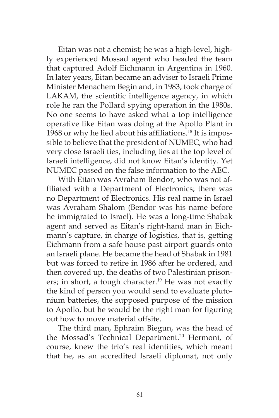Eitan was not a chemist; he was a high-level, highly experienced Mossad agent who headed the team that captured Adolf Eichmann in Argentina in 1960. In later years, Eitan became an adviser to Israeli Prime Minister Menachem Begin and, in 1983, took charge of LAKAM, the scientific intelligence agency, in which role he ran the Pollard spying operation in the 1980s. No one seems to have asked what a top intelligence operative like Eitan was doing at the Apollo Plant in 1968 or why he lied about his affiliations.<sup>18</sup> It is impossible to believe that the president of NUMEC, who had very close Israeli ties, including ties at the top level of Israeli intelligence, did not know Eitan's identity. Yet NUMEC passed on the false information to the AEC.

With Eitan was Avraham Bendor, who was not affiliated with a Department of Electronics; there was no Department of Electronics. His real name in Israel was Avraham Shalom (Bendor was his name before he immigrated to Israel). He was a long-time Shabak agent and served as Eitan's right-hand man in Eichmann's capture, in charge of logistics, that is, getting Eichmann from a safe house past airport guards onto an Israeli plane. He became the head of Shabak in 1981 but was forced to retire in 1986 after he ordered, and then covered up, the deaths of two Palestinian prisoners; in short, a tough character.<sup>19</sup> He was not exactly the kind of person you would send to evaluate plutonium batteries, the supposed purpose of the mission to Apollo, but he would be the right man for figuring out how to move material offsite.

The third man, Ephraim Biegun, was the head of the Mossad's Technical Department.<sup>20</sup> Hermoni, of course, knew the trio's real identities, which meant that he, as an accredited Israeli diplomat, not only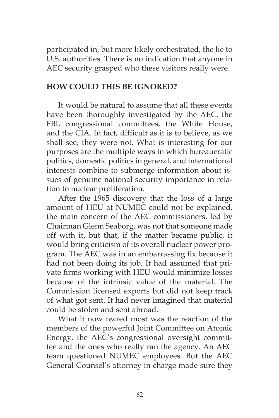participated in, but more likely orchestrated, the lie to U.S. authorities. There is no indication that anyone in AEC security grasped who these visitors really were.

## **HOW COULD THIS BE IGNORED?**

It would be natural to assume that all these events have been thoroughly investigated by the AEC, the FBI, congressional committees, the White House, and the CIA. In fact, difficult as it is to believe, as we shall see, they were not. What is interesting for our purposes are the multiple ways in which bureaucratic politics, domestic politics in general, and international interests combine to submerge information about issues of genuine national security importance in relation to nuclear proliferation.

After the 1965 discovery that the loss of a large amount of HEU at NUMEC could not be explained, the main concern of the AEC commissioners, led by Chairman Glenn Seaborg, was not that someone made off with it, but that, if the matter became public, it would bring criticism of its overall nuclear power program. The AEC was in an embarrassing fix because it had not been doing its job. It had assumed that private firms working with HEU would minimize losses because of the intrinsic value of the material. The Commission licensed exports but did not keep track of what got sent. It had never imagined that material could be stolen and sent abroad.

What it now feared most was the reaction of the members of the powerful Joint Committee on Atomic Energy, the AEC's congressional oversight committee and the ones who really ran the agency. An AEC team questioned NUMEC employees. But the AEC General Counsel's attorney in charge made sure they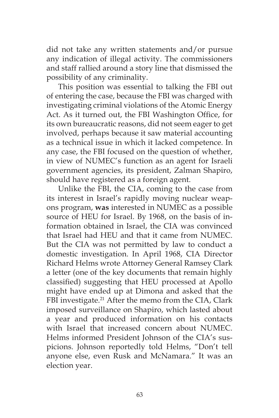did not take any written statements and/or pursue any indication of illegal activity. The commissioners and staff rallied around a story line that dismissed the possibility of any criminality.

This position was essential to talking the FBI out of entering the case, because the FBI was charged with investigating criminal violations of the Atomic Energy Act. As it turned out, the FBI Washington Office, for its own bureaucratic reasons, did not seem eager to get involved, perhaps because it saw material accounting as a technical issue in which it lacked competence. In any case, the FBI focused on the question of whether, in view of NUMEC's function as an agent for Israeli government agencies, its president, Zalman Shapiro, should have registered as a foreign agent.

Unlike the FBI, the CIA, coming to the case from its interest in Israel's rapidly moving nuclear weapons program, **was** interested in NUMEC as a possible source of HEU for Israel. By 1968, on the basis of information obtained in Israel, the CIA was convinced that Israel had HEU and that it came from NUMEC. But the CIA was not permitted by law to conduct a domestic investigation. In April 1968, CIA Director Richard Helms wrote Attorney General Ramsey Clark a letter (one of the key documents that remain highly classified) suggesting that HEU processed at Apollo might have ended up at Dimona and asked that the FBI investigate.<sup>21</sup> After the memo from the CIA, Clark imposed surveillance on Shapiro, which lasted about a year and produced information on his contacts with Israel that increased concern about NUMEC. Helms informed President Johnson of the CIA's suspicions. Johnson reportedly told Helms, "Don't tell anyone else, even Rusk and McNamara." It was an election year.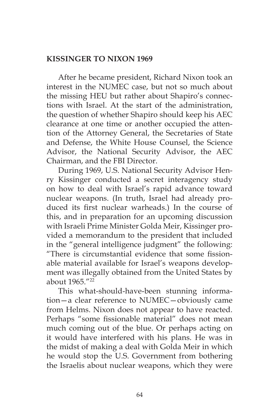## **KISSINGER TO NIXON 1969**

After he became president, Richard Nixon took an interest in the NUMEC case, but not so much about the missing HEU but rather about Shapiro's connections with Israel. At the start of the administration, the question of whether Shapiro should keep his AEC clearance at one time or another occupied the attention of the Attorney General, the Secretaries of State and Defense, the White House Counsel, the Science Advisor, the National Security Advisor, the AEC Chairman, and the FBI Director.

During 1969, U.S. National Security Advisor Henry Kissinger conducted a secret interagency study on how to deal with Israel's rapid advance toward nuclear weapons. (In truth, Israel had already produced its first nuclear warheads.) In the course of this, and in preparation for an upcoming discussion with Israeli Prime Minister Golda Meir, Kissinger provided a memorandum to the president that included in the "general intelligence judgment" the following: "There is circumstantial evidence that some fissionable material available for Israel's weapons development was illegally obtained from the United States by about 1965."22

This what-should-have-been stunning information—a clear reference to NUMEC—obviously came from Helms. Nixon does not appear to have reacted. Perhaps "some fissionable material" does not mean much coming out of the blue. Or perhaps acting on it would have interfered with his plans. He was in the midst of making a deal with Golda Meir in which he would stop the U.S. Government from bothering the Israelis about nuclear weapons, which they were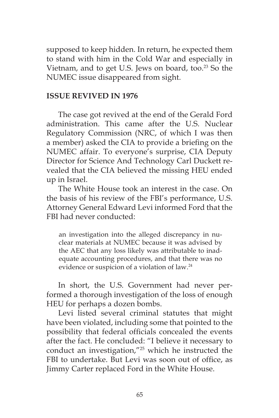supposed to keep hidden. In return, he expected them to stand with him in the Cold War and especially in Vietnam, and to get U.S. Jews on board, too.<sup>23</sup> So the NUMEC issue disappeared from sight.

#### **ISSUE REVIVED IN 1976**

The case got revived at the end of the Gerald Ford administration. This came after the U.S. Nuclear Regulatory Commission (NRC, of which I was then a member) asked the CIA to provide a briefing on the NUMEC affair. To everyone's surprise, CIA Deputy Director for Science And Technology Carl Duckett revealed that the CIA believed the missing HEU ended up in Israel.

The White House took an interest in the case. On the basis of his review of the FBI's performance, U.S. Attorney General Edward Levi informed Ford that the FBI had never conducted:

an investigation into the alleged discrepancy in nuclear materials at NUMEC because it was advised by the AEC that any loss likely was attributable to inadequate accounting procedures, and that there was no evidence or suspicion of a violation of law.24

In short, the U.S. Government had never performed a thorough investigation of the loss of enough HEU for perhaps a dozen bombs.

Levi listed several criminal statutes that might have been violated, including some that pointed to the possibility that federal officials concealed the events after the fact. He concluded: "I believe it necessary to conduct an investigation,"25 which he instructed the FBI to undertake. But Levi was soon out of office, as Jimmy Carter replaced Ford in the White House.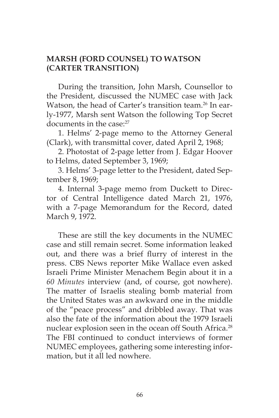# **MARSH (FORD COUNSEL) TO WATSON (CARTER TRANSITION)**

During the transition, John Marsh, Counsellor to the President, discussed the NUMEC case with Jack Watson, the head of Carter's transition team.<sup>26</sup> In early-1977, Marsh sent Watson the following Top Secret documents in the case:<sup>27</sup>

1. Helms' 2-page memo to the Attorney General (Clark), with transmittal cover, dated April 2, 1968;

2. Photostat of 2-page letter from J. Edgar Hoover to Helms, dated September 3, 1969;

3. Helms' 3-page letter to the President, dated September 8, 1969;

4. Internal 3-page memo from Duckett to Director of Central Intelligence dated March 21, 1976, with a 7-page Memorandum for the Record, dated March 9, 1972.

These are still the key documents in the NUMEC case and still remain secret. Some information leaked out, and there was a brief flurry of interest in the press. CBS News reporter Mike Wallace even asked Israeli Prime Minister Menachem Begin about it in a *60 Minutes* interview (and, of course, got nowhere). The matter of Israelis stealing bomb material from the United States was an awkward one in the middle of the "peace process" and dribbled away. That was also the fate of the information about the 1979 Israeli nuclear explosion seen in the ocean off South Africa.<sup>28</sup> The FBI continued to conduct interviews of former NUMEC employees, gathering some interesting information, but it all led nowhere.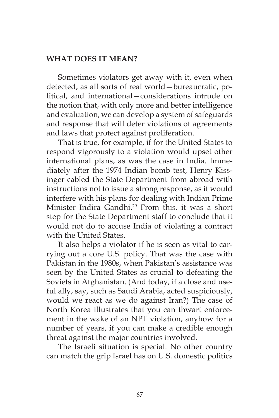### **WHAT DOES IT MEAN?**

Sometimes violators get away with it, even when detected, as all sorts of real world—bureaucratic, political, and international—considerations intrude on the notion that, with only more and better intelligence and evaluation, we can develop a system of safeguards and response that will deter violations of agreements and laws that protect against proliferation.

That is true, for example, if for the United States to respond vigorously to a violation would upset other international plans, as was the case in India. Immediately after the 1974 Indian bomb test, Henry Kissinger cabled the State Department from abroad with instructions not to issue a strong response, as it would interfere with his plans for dealing with Indian Prime Minister Indira Gandhi.<sup>29</sup> From this, it was a short step for the State Department staff to conclude that it would not do to accuse India of violating a contract with the United States.

It also helps a violator if he is seen as vital to carrying out a core U.S. policy. That was the case with Pakistan in the 1980s, when Pakistan's assistance was seen by the United States as crucial to defeating the Soviets in Afghanistan. (And today, if a close and useful ally, say, such as Saudi Arabia, acted suspiciously, would we react as we do against Iran?) The case of North Korea illustrates that you can thwart enforcement in the wake of an NPT violation, anyhow for a number of years, if you can make a credible enough threat against the major countries involved.

The Israeli situation is special. No other country can match the grip Israel has on U.S. domestic politics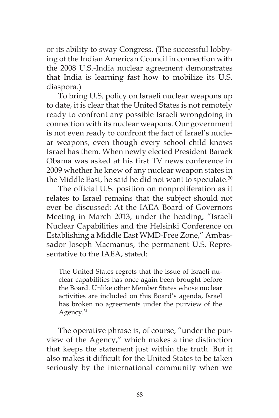or its ability to sway Congress. (The successful lobbying of the Indian American Council in connection with the 2008 U.S.-India nuclear agreement demonstrates that India is learning fast how to mobilize its U.S. diaspora.)

To bring U.S. policy on Israeli nuclear weapons up to date, it is clear that the United States is not remotely ready to confront any possible Israeli wrongdoing in connection with its nuclear weapons. Our government is not even ready to confront the fact of Israel's nuclear weapons, even though every school child knows Israel has them. When newly elected President Barack Obama was asked at his first TV news conference in 2009 whether he knew of any nuclear weapon states in the Middle East, he said he did not want to speculate.<sup>30</sup>

The official U.S. position on nonproliferation as it relates to Israel remains that the subject should not ever be discussed: At the IAEA Board of Governors Meeting in March 2013, under the heading, "Israeli Nuclear Capabilities and the Helsinki Conference on Establishing a Middle East WMD-Free Zone," Ambassador Joseph Macmanus, the permanent U.S. Representative to the IAEA, stated:

The United States regrets that the issue of Israeli nuclear capabilities has once again been brought before the Board. Unlike other Member States whose nuclear activities are included on this Board's agenda, Israel has broken no agreements under the purview of the Agency.<sup>31</sup>

The operative phrase is, of course, "under the purview of the Agency," which makes a fine distinction that keeps the statement just within the truth. But it also makes it difficult for the United States to be taken seriously by the international community when we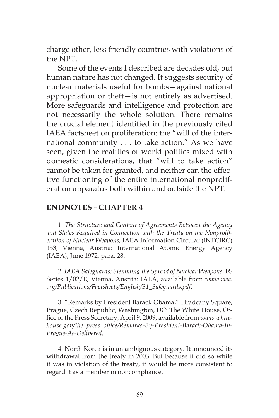charge other, less friendly countries with violations of the NPT.

Some of the events I described are decades old, but human nature has not changed. It suggests security of nuclear materials useful for bombs—against national appropriation or theft—is not entirely as advertised. More safeguards and intelligence and protection are not necessarily the whole solution. There remains the crucial element identified in the previously cited IAEA factsheet on proliferation: the "will of the international community . . . to take action." As we have seen, given the realities of world politics mixed with domestic considerations, that "will to take action" cannot be taken for granted, and neither can the effective functioning of the entire international nonproliferation apparatus both within and outside the NPT.

## **ENDNOTES - CHAPTER 4**

1. *The Structure and Content of Agreements Between the Agency and States Required in Connection with the Treaty on the Nonproliferation of Nuclear Weapons*, IAEA Information Circular (INFCIRC) 153, Vienna, Austria: International Atomic Energy Agency (IAEA), June 1972, para. 28.

2. *IAEA Safeguards: Stemming the Spread of Nuclear Weapons*, FS Series 1/02/E, Vienna, Austria: IAEA, available from *www.iaea. org/Publications/Factsheets/English/S1\_Safeguards.pdf*.

3. "Remarks by President Barack Obama," Hradcany Square, Prague, Czech Republic, Washington, DC: The White House, Office of the Press Secretary, April 9, 2009, available from *www.whitehouse.gov/the\_press\_office/Remarks-By-President-Barack-Obama-In-Prague-As-Delivered*.

4. North Korea is in an ambiguous category. It announced its withdrawal from the treaty in 2003. But because it did so while it was in violation of the treaty, it would be more consistent to regard it as a member in noncompliance.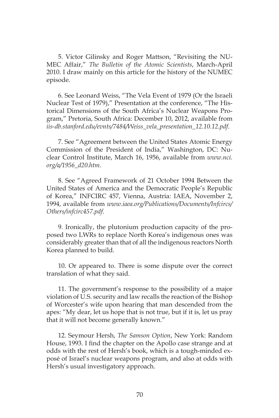5. Victor Gilinsky and Roger Mattson, "Revisiting the NU-MEC Affair," *The Bulletin of the Atomic Scientists*, March-April 2010. I draw mainly on this article for the history of the NUMEC episode.

6. See Leonard Weiss, "The Vela Event of 1979 (Or the Israeli Nuclear Test of 1979)," Presentation at the conference, "The Historical Dimensions of the South Africa's Nuclear Weapons Program," Pretoria, South Africa: December 10, 2012, available from *iis-db.stanford.edu/evnts/7484/Weiss\_vela\_presentation\_12.10.12.pdf*.

7. See "Agreement between the United States Atomic Energy Commission of the President of India," Washington, DC: Nuclear Control Institute, March 16, 1956, available from *www.nci. org/a/1956\_d20.htm*.

8. See "Agreed Framework of 21 October 1994 Between the United States of America and the Democratic People's Republic of Korea," INFCIRC 457, Vienna, Austria: IAEA, November 2, 1994, available from *www.iaea.org/Publications/Documents/Infcircs/ Others/infcirc457.pdf*.

9. Ironically, the plutonium production capacity of the proposed two LWRs to replace North Korea's indigenous ones was considerably greater than that of all the indigenous reactors North Korea planned to build.

10. Or appeared to. There is some dispute over the correct translation of what they said.

11. The government's response to the possibility of a major violation of U.S. security and law recalls the reaction of the Bishop of Worcester's wife upon hearing that man descended from the apes: "My dear, let us hope that is not true, but if it is, let us pray that it will not become generally known."

12. Seymour Hersh, *The Samson Option*, New York: Random House, 1993. I find the chapter on the Apollo case strange and at odds with the rest of Hersh's book, which is a tough-minded exposé of Israel's nuclear weapons program, and also at odds with Hersh's usual investigatory approach.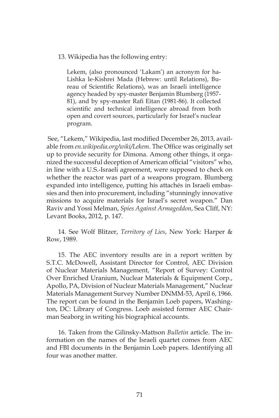13. Wikipedia has the following entry:

Lekem, (also pronounced 'Lakam') an acronym for ha-Lishka le-Kishrei Mada (Hebrew: until Relations), Bureau of Scientific Relations), was an Israeli intelligence agency headed by spy-master Benjamin Blumberg (1957- 81), and by spy-master Rafi Eitan (1981-86). It collected scientific and technical intelligence abroad from both open and covert sources, particularly for Israel's nuclear program.

 See, "Lekem," Wikipedia, last modified December 26, 2013, available from *en.wikipedia.org/wiki/Lekem*. The Office was originally set up to provide security for Dimona. Among other things, it organized the successful deception of American official "visitors" who, in line with a U.S.-Israeli agreement, were supposed to check on whether the reactor was part of a weapons program. Blumberg expanded into intelligence, putting his attachés in Israeli embassies and then into procurement, including "stunningly innovative missions to acquire materials for Israel's secret weapon." Dan Raviv and Yossi Melman, *Spies Against Armageddon*, Sea Cliff, NY: Levant Books, 2012, p. 147.

14. See Wolf Blitzer, *Territory of Lies*, New York: Harper & Row, 1989.

15. The AEC inventory results are in a report written by S.T.C. McDowell, Assistant Director for Control, AEC Division of Nuclear Materials Management, "Report of Survey: Control Over Enriched Uranium, Nuclear Materials & Equipment Corp., Apollo, PA, Division of Nuclear Materials Management," Nuclear Materials Management Survey Number DNMM-53, April 6, 1966. The report can be found in the Benjamin Loeb papers, Washington, DC: Library of Congress. Loeb assisted former AEC Chairman Seaborg in writing his biographical accounts.

16. Taken from the Gilinsky-Mattson *Bulletin* article. The information on the names of the Israeli quartet comes from AEC and FBI documents in the Benjamin Loeb papers. Identifying all four was another matter.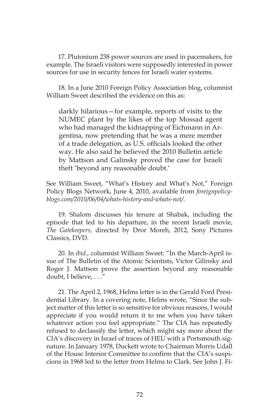17. Plutonium 238 power sources are used in pacemakers, for example. The Israeli visitors were supposedly interested in power sources for use in security fences for Israeli water systems.

18. In a June 2010 Foreign Policy Association blog, columnist William Sweet described the evidence on this as:

darkly hilarious—for example, reports of visits to the NUMEC plant by the likes of the top Mossad agent who had managed the kidnapping of Eichmann in Argentina, now pretending that he was a mere member of a trade delegation, as U.S. officials looked the other way. He also said he believed the 2010 Bulletin article by Mattson and Galinsky proved the case for Israeli theft 'beyond any reasonable doubt.'

See William Sweet, "What's History and What's Not," Foreign Policy Blogs Network, June 4, 2010, available from *foreignpolicyblogs.com/2010/06/04/whats-history-and-whats-not/*.

19. Shalom discusses his tenure at Shabak, including the episode that led to his departure, in the recent Israeli movie, *The Gatekeepers*, directed by Dror Moreh, 2012, Sony Pictures Classics, DVD.

20. In *ibid*., columnist William Sweet: "In the March-April issue of The Bulletin of the Atomic Scientists, Victor Gilinsky and Roger J. Mattson prove the assertion beyond any reasonable doubt, I believe, . . ."

21. The April 2, 1968, Helms letter is in the Gerald Ford Presidential Library. In a covering note, Helms wrote, "Since the subject matter of this letter is so sensitive for obvious reasons, I would appreciate if you would return it to me when you have taken whatever action you feel appropriate." The CIA has repeatedly refused to declassify the letter, which might say more about the CIA's discovery in Israel of traces of HEU with a Portsmouth signature. In January 1978, Duckett wrote to Chairman Morris Udall of the House Interior Committee to confirm that the CIA's suspicions in 1968 led to the letter from Helms to Clark. See John J. Fi